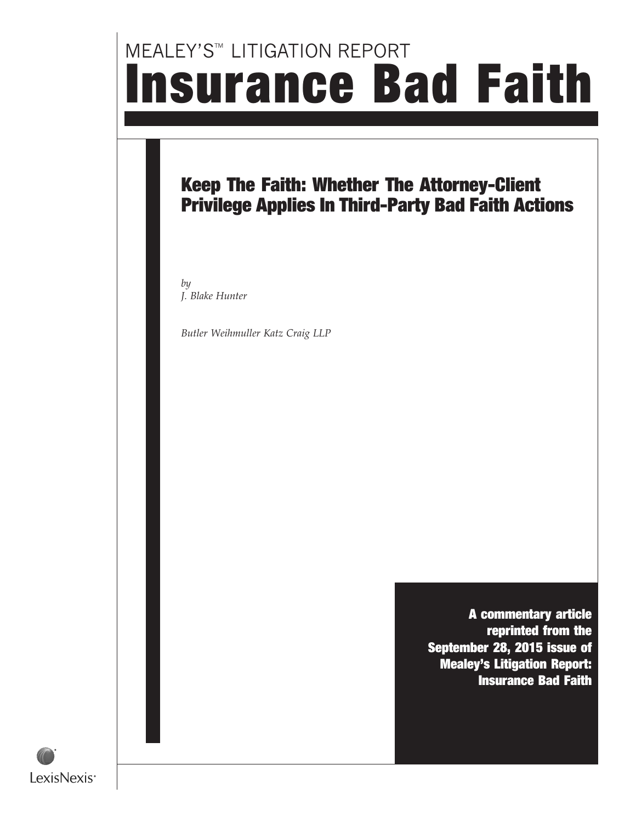# **MEALEY'S™ LITIGATION REPORT** Insurance Bad Faith

### Keep The Faith: Whether The Attorney-Client Privilege Applies In Third-Party Bad Faith Actions

by J. Blake Hunter

Butler Weihmuller Katz Craig LLP

A commentary article reprinted from the September 28, 2015 issue of Mealey's Litigation Report: Insurance Bad Faith

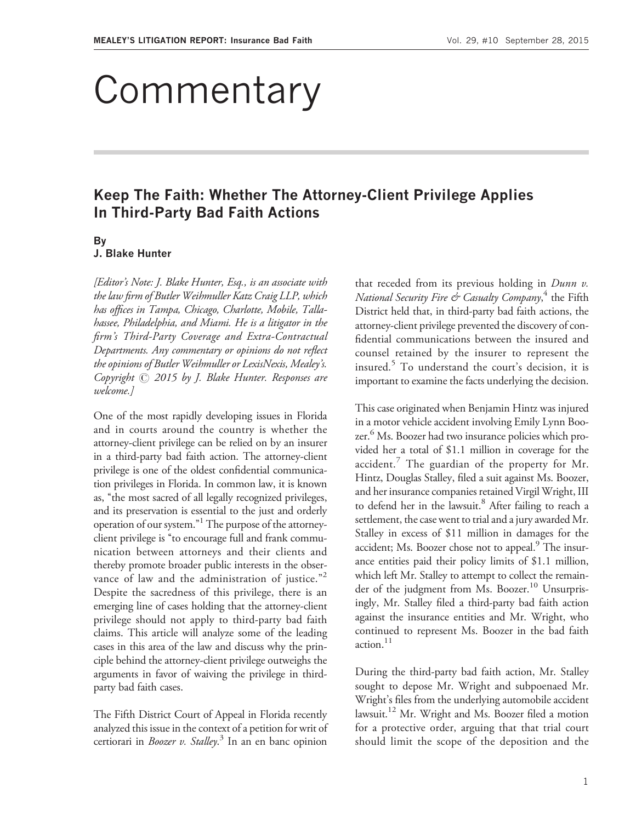## Commentary

### Keep The Faith: Whether The Attorney-Client Privilege Applies In Third-Party Bad Faith Actions

#### By

#### J. Blake Hunter

[Editor's Note: J. Blake Hunter, Esq., is an associate with the law firm of Butler Weihmuller Katz Craig LLP, which has offices in Tampa, Chicago, Charlotte, Mobile, Tallahassee, Philadelphia, and Miami. He is a litigator in the firm's Third-Party Coverage and Extra-Contractual Departments. Any commentary or opinions do not reflect the opinions of Butler Weihmuller or LexisNexis, Mealey's. Copyright  $\odot$  2015 by J. Blake Hunter. Responses are welcome.]

One of the most rapidly developing issues in Florida and in courts around the country is whether the attorney-client privilege can be relied on by an insurer in a third-party bad faith action. The attorney-client privilege is one of the oldest confidential communication privileges in Florida. In common law, it is known as, ''the most sacred of all legally recognized privileges, and its preservation is essential to the just and orderly operation of our system."<sup>1</sup> The purpose of the attorneyclient privilege is ''to encourage full and frank communication between attorneys and their clients and thereby promote broader public interests in the observance of law and the administration of justice."<sup>2</sup> Despite the sacredness of this privilege, there is an emerging line of cases holding that the attorney-client privilege should not apply to third-party bad faith claims. This article will analyze some of the leading cases in this area of the law and discuss why the principle behind the attorney-client privilege outweighs the arguments in favor of waiving the privilege in thirdparty bad faith cases.

The Fifth District Court of Appeal in Florida recently analyzed this issue in the context of a petition for writ of certiorari in *Boozer v. Stalley*.<sup>3</sup> In an en banc opinion

that receded from its previous holding in  $Dunn$  v. *National Security Fire*  $\acute{\textit{c}}$ *r Casualty Company*, <sup>4</sup> the Fifth District held that, in third-party bad faith actions, the attorney-client privilege prevented the discovery of confidential communications between the insured and counsel retained by the insurer to represent the insured. $5$  To understand the court's decision, it is important to examine the facts underlying the decision.

This case originated when Benjamin Hintz was injured in a motor vehicle accident involving Emily Lynn Boozer. <sup>6</sup> Ms. Boozer had two insurance policies which provided her a total of \$1.1 million in coverage for the accident. $^7$  The guardian of the property for Mr. Hintz, Douglas Stalley, filed a suit against Ms. Boozer, and her insurance companies retained Virgil Wright, III to defend her in the lawsuit.<sup>8</sup> After failing to reach a settlement, the case went to trial and a jury awarded Mr. Stalley in excess of \$11 million in damages for the accident; Ms. Boozer chose not to appeal.<sup>9</sup> The insurance entities paid their policy limits of \$1.1 million, which left Mr. Stalley to attempt to collect the remainder of the judgment from Ms. Boozer.<sup>10</sup> Unsurprisingly, Mr. Stalley filed a third-party bad faith action against the insurance entities and Mr. Wright, who continued to represent Ms. Boozer in the bad faith action.<sup>11</sup>

During the third-party bad faith action, Mr. Stalley sought to depose Mr. Wright and subpoenaed Mr. Wright's files from the underlying automobile accident lawsuit.<sup>12</sup> Mr. Wright and Ms. Boozer filed a motion for a protective order, arguing that that trial court should limit the scope of the deposition and the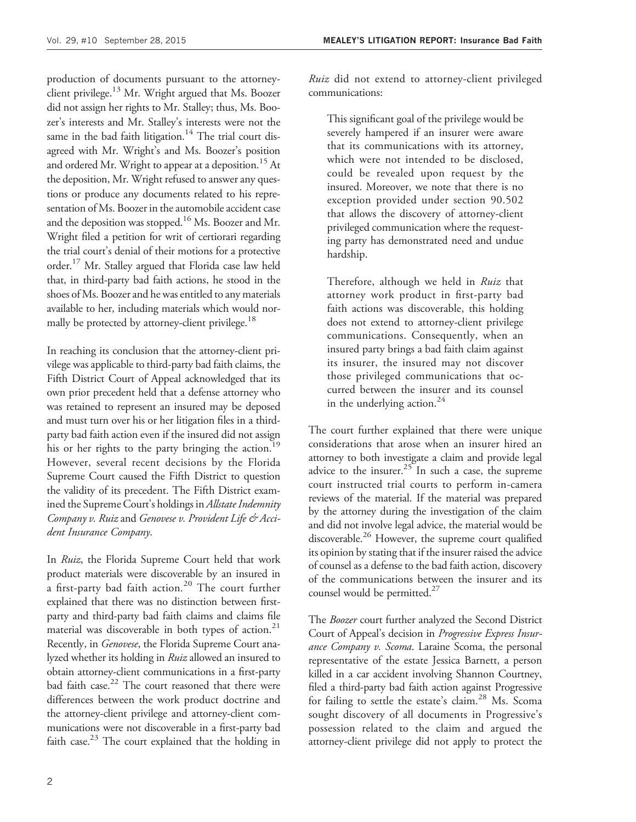production of documents pursuant to the attorneyclient privilege.<sup>13</sup> Mr. Wright argued that Ms. Boozer did not assign her rights to Mr. Stalley; thus, Ms. Boozer's interests and Mr. Stalley's interests were not the same in the bad faith litigation.<sup>14</sup> The trial court disagreed with Mr. Wright's and Ms. Boozer's position and ordered Mr. Wright to appear at a deposition.<sup>15</sup> At the deposition, Mr. Wright refused to answer any questions or produce any documents related to his representation of Ms. Boozer in the automobile accident case and the deposition was stopped.<sup>16</sup> Ms. Boozer and Mr. Wright filed a petition for writ of certiorari regarding the trial court's denial of their motions for a protective order.<sup>17</sup> Mr. Stalley argued that Florida case law held that, in third-party bad faith actions, he stood in the shoes of Ms. Boozer and he was entitled to any materials available to her, including materials which would normally be protected by attorney-client privilege.<sup>18</sup>

In reaching its conclusion that the attorney-client privilege was applicable to third-party bad faith claims, the Fifth District Court of Appeal acknowledged that its own prior precedent held that a defense attorney who was retained to represent an insured may be deposed and must turn over his or her litigation files in a thirdparty bad faith action even if the insured did not assign his or her rights to the party bringing the action.<sup>19</sup> However, several recent decisions by the Florida Supreme Court caused the Fifth District to question the validity of its precedent. The Fifth District examined the Supreme Court's holdings in Allstate Indemnity Company v. Ruiz and Genovese v. Provident Life & Accident Insurance Company.

In Ruiz, the Florida Supreme Court held that work product materials were discoverable by an insured in a first-party bad faith action.<sup>20</sup> The court further explained that there was no distinction between firstparty and third-party bad faith claims and claims file material was discoverable in both types of action.<sup>21</sup> Recently, in Genovese, the Florida Supreme Court analyzed whether its holding in Ruiz allowed an insured to obtain attorney-client communications in a first-party bad faith case.<sup>22</sup> The court reasoned that there were differences between the work product doctrine and the attorney-client privilege and attorney-client communications were not discoverable in a first-party bad faith case. $^{23}$  The court explained that the holding in

Ruiz did not extend to attorney-client privileged communications:

This significant goal of the privilege would be severely hampered if an insurer were aware that its communications with its attorney, which were not intended to be disclosed, could be revealed upon request by the insured. Moreover, we note that there is no exception provided under section 90.502 that allows the discovery of attorney-client privileged communication where the requesting party has demonstrated need and undue hardship.

Therefore, although we held in *Ruiz* that attorney work product in first-party bad faith actions was discoverable, this holding does not extend to attorney-client privilege communications. Consequently, when an insured party brings a bad faith claim against its insurer, the insured may not discover those privileged communications that occurred between the insurer and its counsel in the underlying action. $24$ 

The court further explained that there were unique considerations that arose when an insurer hired an attorney to both investigate a claim and provide legal advice to the insurer.<sup>25</sup> In such a case, the supreme court instructed trial courts to perform in-camera reviews of the material. If the material was prepared by the attorney during the investigation of the claim and did not involve legal advice, the material would be discoverable.<sup>26</sup> However, the supreme court qualified its opinion by stating that if the insurer raised the advice of counsel as a defense to the bad faith action, discovery of the communications between the insurer and its counsel would be permitted. $27$ 

The Boozer court further analyzed the Second District Court of Appeal's decision in Progressive Express Insurance Company v. Scoma. Laraine Scoma, the personal representative of the estate Jessica Barnett, a person killed in a car accident involving Shannon Courtney, filed a third-party bad faith action against Progressive for failing to settle the estate's claim.<sup>28</sup> Ms. Scoma sought discovery of all documents in Progressive's possession related to the claim and argued the attorney-client privilege did not apply to protect the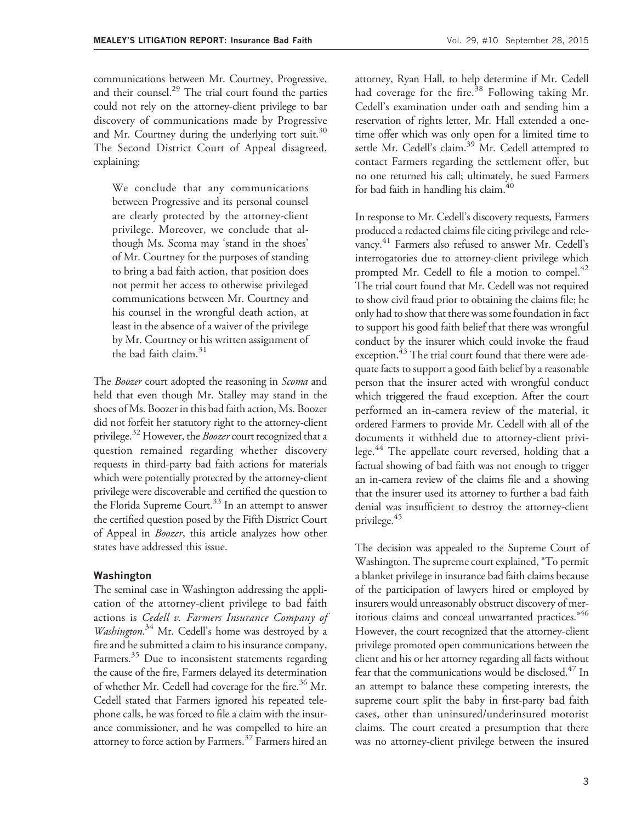communications between Mr. Courtney, Progressive, and their counsel.<sup>29</sup> The trial court found the parties could not rely on the attorney-client privilege to bar discovery of communications made by Progressive and Mr. Courtney during the underlying tort suit. $30$ The Second District Court of Appeal disagreed, explaining:

We conclude that any communications between Progressive and its personal counsel are clearly protected by the attorney-client privilege. Moreover, we conclude that although Ms. Scoma may 'stand in the shoes' of Mr. Courtney for the purposes of standing to bring a bad faith action, that position does not permit her access to otherwise privileged communications between Mr. Courtney and his counsel in the wrongful death action, at least in the absence of a waiver of the privilege by Mr. Courtney or his written assignment of the bad faith claim. $31$ 

The Boozer court adopted the reasoning in Scoma and held that even though Mr. Stalley may stand in the shoes of Ms. Boozer in this bad faith action, Ms. Boozer did not forfeit her statutory right to the attorney-client privilege.<sup>32</sup> However, the *Boozer* court recognized that a question remained regarding whether discovery requests in third-party bad faith actions for materials which were potentially protected by the attorney-client privilege were discoverable and certified the question to the Florida Supreme Court.<sup>33</sup> In an attempt to answer the certified question posed by the Fifth District Court of Appeal in Boozer, this article analyzes how other states have addressed this issue.

#### Washington

The seminal case in Washington addressing the application of the attorney-client privilege to bad faith actions is Cedell v. Farmers Insurance Company of Washington. <sup>34</sup> Mr. Cedell's home was destroyed by a fire and he submitted a claim to his insurance company, Farmers.<sup>35</sup> Due to inconsistent statements regarding the cause of the fire, Farmers delayed its determination of whether Mr. Cedell had coverage for the fire.<sup>36</sup> Mr. Cedell stated that Farmers ignored his repeated telephone calls, he was forced to file a claim with the insurance commissioner, and he was compelled to hire an attorney to force action by Farmers.<sup>37</sup> Farmers hired an

attorney, Ryan Hall, to help determine if Mr. Cedell had coverage for the fire.<sup>38</sup> Following taking Mr. Cedell's examination under oath and sending him a reservation of rights letter, Mr. Hall extended a onetime offer which was only open for a limited time to settle Mr. Cedell's claim.<sup>39</sup> Mr. Cedell attempted to contact Farmers regarding the settlement offer, but no one returned his call; ultimately, he sued Farmers for bad faith in handling his claim. $40$ 

In response to Mr. Cedell's discovery requests, Farmers produced a redacted claims file citing privilege and relevancy. <sup>41</sup> Farmers also refused to answer Mr. Cedell's interrogatories due to attorney-client privilege which prompted Mr. Cedell to file a motion to compel.<sup>42</sup> The trial court found that Mr. Cedell was not required to show civil fraud prior to obtaining the claims file; he only had to show that there was some foundation in fact to support his good faith belief that there was wrongful conduct by the insurer which could invoke the fraud exception.<sup>43</sup> The trial court found that there were adequate facts to support a good faith belief by a reasonable person that the insurer acted with wrongful conduct which triggered the fraud exception. After the court performed an in-camera review of the material, it ordered Farmers to provide Mr. Cedell with all of the documents it withheld due to attorney-client privilege.<sup>44</sup> The appellate court reversed, holding that a factual showing of bad faith was not enough to trigger an in-camera review of the claims file and a showing that the insurer used its attorney to further a bad faith denial was insufficient to destroy the attorney-client privilege.45

The decision was appealed to the Supreme Court of Washington. The supreme court explained, ''To permit a blanket privilege in insurance bad faith claims because of the participation of lawyers hired or employed by insurers would unreasonably obstruct discovery of meritorious claims and conceal unwarranted practices."<sup>46</sup> However, the court recognized that the attorney-client privilege promoted open communications between the client and his or her attorney regarding all facts without fear that the communications would be disclosed. $4/$  In an attempt to balance these competing interests, the supreme court split the baby in first-party bad faith cases, other than uninsured/underinsured motorist claims. The court created a presumption that there was no attorney-client privilege between the insured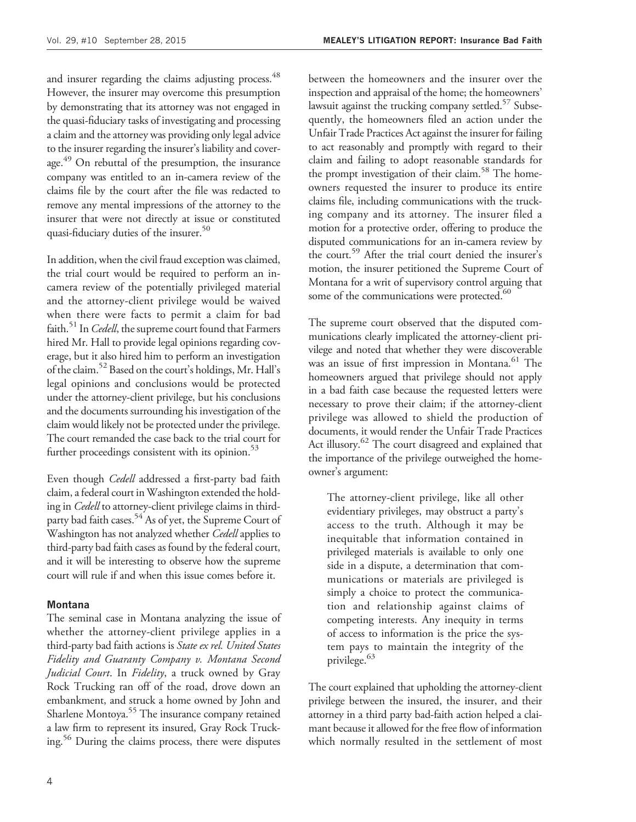and insurer regarding the claims adjusting process.<sup>48</sup> However, the insurer may overcome this presumption by demonstrating that its attorney was not engaged in the quasi-fiduciary tasks of investigating and processing a claim and the attorney was providing only legal advice to the insurer regarding the insurer's liability and coverage.<sup>49</sup> On rebuttal of the presumption, the insurance company was entitled to an in-camera review of the claims file by the court after the file was redacted to remove any mental impressions of the attorney to the insurer that were not directly at issue or constituted quasi-fiduciary duties of the insurer.<sup>50</sup>

In addition, when the civil fraud exception was claimed, the trial court would be required to perform an incamera review of the potentially privileged material and the attorney-client privilege would be waived when there were facts to permit a claim for bad faith.<sup>51</sup> In *Cedell*, the supreme court found that Farmers hired Mr. Hall to provide legal opinions regarding coverage, but it also hired him to perform an investigation of the claim.52 Based on the court's holdings, Mr. Hall's legal opinions and conclusions would be protected under the attorney-client privilege, but his conclusions and the documents surrounding his investigation of the claim would likely not be protected under the privilege. The court remanded the case back to the trial court for further proceedings consistent with its opinion. $53$ 

Even though *Cedell* addressed a first-party bad faith claim, a federal court in Washington extended the holding in Cedell to attorney-client privilege claims in thirdparty bad faith cases.<sup>54</sup> As of yet, the Supreme Court of Washington has not analyzed whether Cedell applies to third-party bad faith cases as found by the federal court, and it will be interesting to observe how the supreme court will rule if and when this issue comes before it.

#### Montana

The seminal case in Montana analyzing the issue of whether the attorney-client privilege applies in a third-party bad faith actions is State ex rel. United States Fidelity and Guaranty Company v. Montana Second Judicial Court. In Fidelity, a truck owned by Gray Rock Trucking ran off of the road, drove down an embankment, and struck a home owned by John and Sharlene Montoya.<sup>55</sup> The insurance company retained a law firm to represent its insured, Gray Rock Trucking.<sup>56</sup> During the claims process, there were disputes

between the homeowners and the insurer over the inspection and appraisal of the home; the homeowners' lawsuit against the trucking company settled.<sup>57</sup> Subsequently, the homeowners filed an action under the Unfair Trade Practices Act against the insurer for failing to act reasonably and promptly with regard to their claim and failing to adopt reasonable standards for the prompt investigation of their claim.<sup>58</sup> The homeowners requested the insurer to produce its entire claims file, including communications with the trucking company and its attorney. The insurer filed a motion for a protective order, offering to produce the disputed communications for an in-camera review by the court.<sup>59</sup> After the trial court denied the insurer's motion, the insurer petitioned the Supreme Court of Montana for a writ of supervisory control arguing that some of the communications were protected.<sup>60</sup>

The supreme court observed that the disputed communications clearly implicated the attorney-client privilege and noted that whether they were discoverable was an issue of first impression in Montana.<sup>61</sup> The homeowners argued that privilege should not apply in a bad faith case because the requested letters were necessary to prove their claim; if the attorney-client privilege was allowed to shield the production of documents, it would render the Unfair Trade Practices Act illusory.<sup>62</sup> The court disagreed and explained that the importance of the privilege outweighed the homeowner's argument:

The attorney-client privilege, like all other evidentiary privileges, may obstruct a party's access to the truth. Although it may be inequitable that information contained in privileged materials is available to only one side in a dispute, a determination that communications or materials are privileged is simply a choice to protect the communication and relationship against claims of competing interests. Any inequity in terms of access to information is the price the system pays to maintain the integrity of the privilege.<sup>63</sup>

The court explained that upholding the attorney-client privilege between the insured, the insurer, and their attorney in a third party bad-faith action helped a claimant because it allowed for the free flow of information which normally resulted in the settlement of most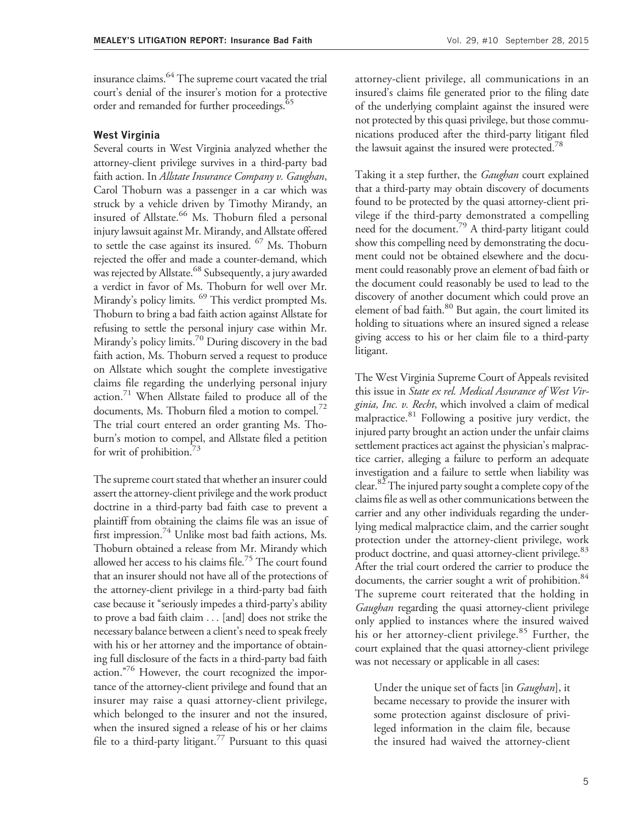insurance claims.<sup>64</sup> The supreme court vacated the trial court's denial of the insurer's motion for a protective order and remanded for further proceedings.<sup>65</sup>

#### West Virginia

Several courts in West Virginia analyzed whether the attorney-client privilege survives in a third-party bad faith action. In Allstate Insurance Company v. Gaughan, Carol Thoburn was a passenger in a car which was struck by a vehicle driven by Timothy Mirandy, an insured of Allstate.<sup>66</sup> Ms. Thoburn filed a personal injury lawsuit against Mr. Mirandy, and Allstate offered to settle the case against its insured.  $^{67}$  Ms. Thoburn rejected the offer and made a counter-demand, which was rejected by Allstate.<sup>68</sup> Subsequently, a jury awarded a verdict in favor of Ms. Thoburn for well over Mr. Mirandy's policy limits. <sup>69</sup> This verdict prompted Ms. Thoburn to bring a bad faith action against Allstate for refusing to settle the personal injury case within Mr. Mirandy's policy limits.<sup>70</sup> During discovery in the bad faith action, Ms. Thoburn served a request to produce on Allstate which sought the complete investigative claims file regarding the underlying personal injury action.<sup>71</sup> When Allstate failed to produce all of the documents, Ms. Thoburn filed a motion to compel.<sup>72</sup> The trial court entered an order granting Ms. Thoburn's motion to compel, and Allstate filed a petition for writ of prohibition. $\frac{3}{3}$ 

The supreme court stated that whether an insurer could assert the attorney-client privilege and the work product doctrine in a third-party bad faith case to prevent a plaintiff from obtaining the claims file was an issue of first impression.<sup>74</sup> Unlike most bad faith actions, Ms. Thoburn obtained a release from Mr. Mirandy which allowed her access to his claims file.<sup>75</sup> The court found that an insurer should not have all of the protections of the attorney-client privilege in a third-party bad faith case because it ''seriously impedes a third-party's ability to prove a bad faith claim ... [and] does not strike the necessary balance between a client's need to speak freely with his or her attorney and the importance of obtaining full disclosure of the facts in a third-party bad faith action. $176$  However, the court recognized the importance of the attorney-client privilege and found that an insurer may raise a quasi attorney-client privilege, which belonged to the insurer and not the insured, when the insured signed a release of his or her claims file to a third-party litigant.<sup>77</sup> Pursuant to this quasi

attorney-client privilege, all communications in an insured's claims file generated prior to the filing date of the underlying complaint against the insured were not protected by this quasi privilege, but those communications produced after the third-party litigant filed the lawsuit against the insured were protected.<sup>78</sup>

Taking it a step further, the *Gaughan* court explained that a third-party may obtain discovery of documents found to be protected by the quasi attorney-client privilege if the third-party demonstrated a compelling need for the document.79 A third-party litigant could show this compelling need by demonstrating the document could not be obtained elsewhere and the document could reasonably prove an element of bad faith or the document could reasonably be used to lead to the discovery of another document which could prove an element of bad faith.<sup>80</sup> But again, the court limited its holding to situations where an insured signed a release giving access to his or her claim file to a third-party litigant.

The West Virginia Supreme Court of Appeals revisited this issue in State ex rel. Medical Assurance of West Virginia, Inc. v. Recht, which involved a claim of medical malpractice. $81$  Following a positive jury verdict, the injured party brought an action under the unfair claims settlement practices act against the physician's malpractice carrier, alleging a failure to perform an adequate investigation and a failure to settle when liability was clear. $82$  The injured party sought a complete copy of the claims file as well as other communications between the carrier and any other individuals regarding the underlying medical malpractice claim, and the carrier sought protection under the attorney-client privilege, work product doctrine, and quasi attorney-client privilege.<sup>83</sup> After the trial court ordered the carrier to produce the documents, the carrier sought a writ of prohibition.<sup>84</sup> The supreme court reiterated that the holding in Gaughan regarding the quasi attorney-client privilege only applied to instances where the insured waived his or her attorney-client privilege.<sup>85</sup> Further, the court explained that the quasi attorney-client privilege was not necessary or applicable in all cases:

Under the unique set of facts [in Gaughan], it became necessary to provide the insurer with some protection against disclosure of privileged information in the claim file, because the insured had waived the attorney-client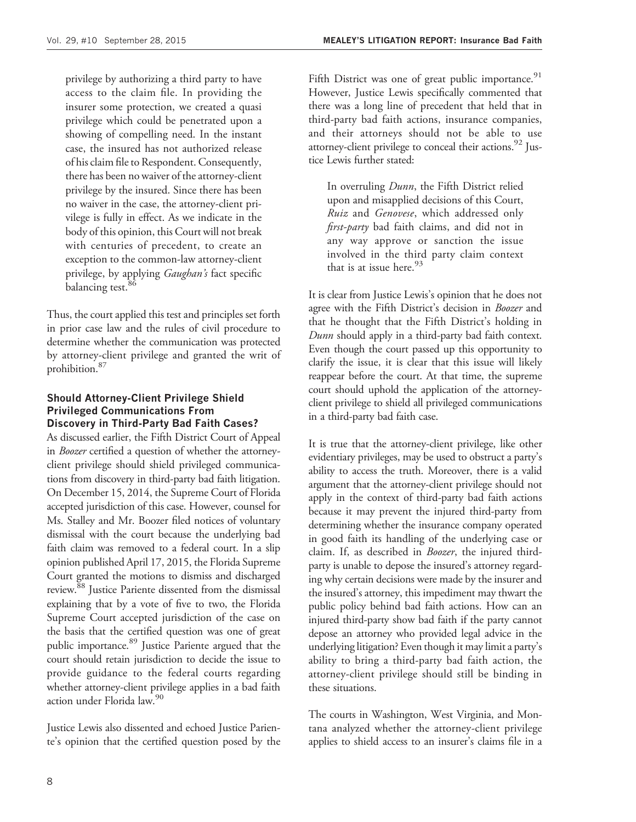privilege by authorizing a third party to have access to the claim file. In providing the insurer some protection, we created a quasi privilege which could be penetrated upon a showing of compelling need. In the instant case, the insured has not authorized release of his claim file to Respondent. Consequently, there has been no waiver of the attorney-client privilege by the insured. Since there has been no waiver in the case, the attorney-client privilege is fully in effect. As we indicate in the body of this opinion, this Court will not break with centuries of precedent, to create an exception to the common-law attorney-client privilege, by applying Gaughan's fact specific balancing test.<sup>86</sup>

Thus, the court applied this test and principles set forth in prior case law and the rules of civil procedure to determine whether the communication was protected by attorney-client privilege and granted the writ of prohibition.87

#### Should Attorney-Client Privilege Shield Privileged Communications From Discovery in Third-Party Bad Faith Cases?

As discussed earlier, the Fifth District Court of Appeal in Boozer certified a question of whether the attorneyclient privilege should shield privileged communications from discovery in third-party bad faith litigation. On December 15, 2014, the Supreme Court of Florida accepted jurisdiction of this case. However, counsel for Ms. Stalley and Mr. Boozer filed notices of voluntary dismissal with the court because the underlying bad faith claim was removed to a federal court. In a slip opinion published April 17, 2015, the Florida Supreme Court granted the motions to dismiss and discharged review.<sup>88</sup> Justice Pariente dissented from the dismissal explaining that by a vote of five to two, the Florida Supreme Court accepted jurisdiction of the case on the basis that the certified question was one of great public importance.<sup>89</sup> Justice Pariente argued that the court should retain jurisdiction to decide the issue to provide guidance to the federal courts regarding whether attorney-client privilege applies in a bad faith action under Florida law.<sup>90</sup>

Justice Lewis also dissented and echoed Justice Pariente's opinion that the certified question posed by the Fifth District was one of great public importance.<sup>91</sup> However, Justice Lewis specifically commented that there was a long line of precedent that held that in third-party bad faith actions, insurance companies, and their attorneys should not be able to use attorney-client privilege to conceal their actions. $92$  Justice Lewis further stated:

In overruling Dunn, the Fifth District relied upon and misapplied decisions of this Court, Ruiz and Genovese, which addressed only first-party bad faith claims, and did not in any way approve or sanction the issue involved in the third party claim context that is at issue here.  $93$ 

It is clear from Justice Lewis's opinion that he does not agree with the Fifth District's decision in *Boozer* and that he thought that the Fifth District's holding in Dunn should apply in a third-party bad faith context. Even though the court passed up this opportunity to clarify the issue, it is clear that this issue will likely reappear before the court. At that time, the supreme court should uphold the application of the attorneyclient privilege to shield all privileged communications in a third-party bad faith case.

It is true that the attorney-client privilege, like other evidentiary privileges, may be used to obstruct a party's ability to access the truth. Moreover, there is a valid argument that the attorney-client privilege should not apply in the context of third-party bad faith actions because it may prevent the injured third-party from determining whether the insurance company operated in good faith its handling of the underlying case or claim. If, as described in Boozer, the injured thirdparty is unable to depose the insured's attorney regarding why certain decisions were made by the insurer and the insured's attorney, this impediment may thwart the public policy behind bad faith actions. How can an injured third-party show bad faith if the party cannot depose an attorney who provided legal advice in the underlying litigation? Even though it may limit a party's ability to bring a third-party bad faith action, the attorney-client privilege should still be binding in these situations.

The courts in Washington, West Virginia, and Montana analyzed whether the attorney-client privilege applies to shield access to an insurer's claims file in a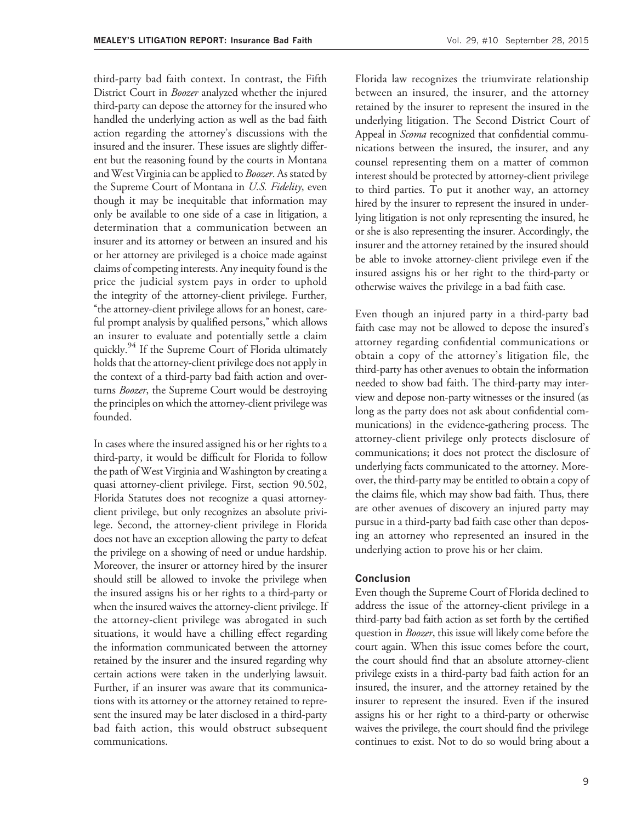third-party bad faith context. In contrast, the Fifth District Court in Boozer analyzed whether the injured third-party can depose the attorney for the insured who handled the underlying action as well as the bad faith action regarding the attorney's discussions with the insured and the insurer. These issues are slightly different but the reasoning found by the courts in Montana and West Virginia can be applied to *Boozer*. As stated by the Supreme Court of Montana in U.S. Fidelity, even though it may be inequitable that information may only be available to one side of a case in litigation, a determination that a communication between an insurer and its attorney or between an insured and his or her attorney are privileged is a choice made against claims of competing interests. Any inequity found is the price the judicial system pays in order to uphold the integrity of the attorney-client privilege. Further, ''the attorney-client privilege allows for an honest, careful prompt analysis by qualified persons," which allows an insurer to evaluate and potentially settle a claim quickly.<sup>94</sup> If the Supreme Court of Florida ultimately holds that the attorney-client privilege does not apply in the context of a third-party bad faith action and overturns Boozer, the Supreme Court would be destroying the principles on which the attorney-client privilege was founded.

In cases where the insured assigned his or her rights to a third-party, it would be difficult for Florida to follow the path of West Virginia and Washington by creating a quasi attorney-client privilege. First, section 90.502, Florida Statutes does not recognize a quasi attorneyclient privilege, but only recognizes an absolute privilege. Second, the attorney-client privilege in Florida does not have an exception allowing the party to defeat the privilege on a showing of need or undue hardship. Moreover, the insurer or attorney hired by the insurer should still be allowed to invoke the privilege when the insured assigns his or her rights to a third-party or when the insured waives the attorney-client privilege. If the attorney-client privilege was abrogated in such situations, it would have a chilling effect regarding the information communicated between the attorney retained by the insurer and the insured regarding why certain actions were taken in the underlying lawsuit. Further, if an insurer was aware that its communications with its attorney or the attorney retained to represent the insured may be later disclosed in a third-party bad faith action, this would obstruct subsequent communications.

Florida law recognizes the triumvirate relationship between an insured, the insurer, and the attorney retained by the insurer to represent the insured in the underlying litigation. The Second District Court of Appeal in *Scoma* recognized that confidential communications between the insured, the insurer, and any counsel representing them on a matter of common interest should be protected by attorney-client privilege to third parties. To put it another way, an attorney hired by the insurer to represent the insured in underlying litigation is not only representing the insured, he or she is also representing the insurer. Accordingly, the insurer and the attorney retained by the insured should be able to invoke attorney-client privilege even if the insured assigns his or her right to the third-party or otherwise waives the privilege in a bad faith case.

Even though an injured party in a third-party bad faith case may not be allowed to depose the insured's attorney regarding confidential communications or obtain a copy of the attorney's litigation file, the third-party has other avenues to obtain the information needed to show bad faith. The third-party may interview and depose non-party witnesses or the insured (as long as the party does not ask about confidential communications) in the evidence-gathering process. The attorney-client privilege only protects disclosure of communications; it does not protect the disclosure of underlying facts communicated to the attorney. Moreover, the third-party may be entitled to obtain a copy of the claims file, which may show bad faith. Thus, there are other avenues of discovery an injured party may pursue in a third-party bad faith case other than deposing an attorney who represented an insured in the underlying action to prove his or her claim.

#### Conclusion

Even though the Supreme Court of Florida declined to address the issue of the attorney-client privilege in a third-party bad faith action as set forth by the certified question in *Boozer*, this issue will likely come before the court again. When this issue comes before the court, the court should find that an absolute attorney-client privilege exists in a third-party bad faith action for an insured, the insurer, and the attorney retained by the insurer to represent the insured. Even if the insured assigns his or her right to a third-party or otherwise waives the privilege, the court should find the privilege continues to exist. Not to do so would bring about a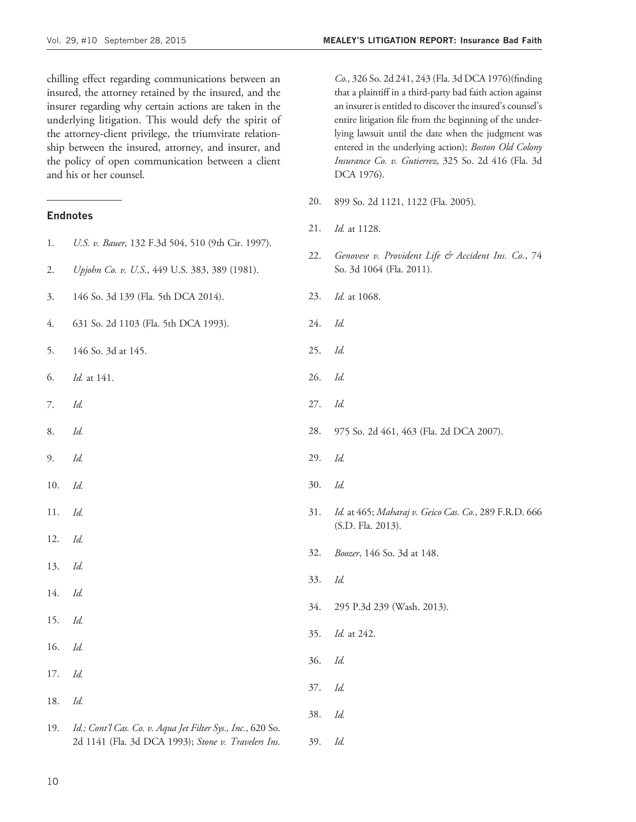chilling effect regarding communications between an insured, the attorney retained by the insured, and the insurer regarding why certain actions are taken in the underlying litigation. This would defy the spirit of the attorney-client privilege, the triumvirate relationship between the insured, attorney, and insurer, and the policy of open communication between a client and his or her counsel.

#### Endnotes

| 1.  |                                                             | --  | $10v_0$    |
|-----|-------------------------------------------------------------|-----|------------|
|     | U.S. v. Bauer, 132 F.3d 504, 510 (9th Cir. 1997).           | 22. | $G_{\ell}$ |
| 2.  | Upjohn Co. v. U.S., 449 U.S. 383, 389 (1981).               |     | So         |
| 3.  | 146 So. 3d 139 (Fla. 5th DCA 2014).                         | 23. | Id.        |
| 4.  | 631 So. 2d 1103 (Fla. 5th DCA 1993).                        | 24. | Id.        |
| 5.  | 146 So. 3d at 145.                                          | 25. | Id.        |
| 6.  | Id. at 141.                                                 | 26. | Id.        |
| 7.  | Id.                                                         | 27. | Id.        |
| 8.  | Id.                                                         | 28. | 97         |
| 9.  | Id.                                                         | 29. | Id.        |
| 10. | Id.                                                         | 30. | Id.        |
| 11. | Id.                                                         | 31. | Id.<br>(S. |
| 12. | Id.                                                         |     |            |
| 13. | Id.                                                         | 32. | Bo         |
| 14. | Id.                                                         | 33. | Id.        |
| 15. | Id.                                                         | 34. | 29         |
|     |                                                             | 35. | Id.        |
| 16. | Id.                                                         | 36. | Id.        |
| 17. | Id.                                                         | 37. | Id.        |
| 18. | Id.                                                         |     |            |
| 19. | Id.; Cont'l Cas. Co. v. Aqua Jet Filter Sys., Inc., 620 So. | 38. | Id.        |
|     | 2d 1141 (Fla. 3d DCA 1993); Stone v. Travelers Ins.         | 39. | Id.        |

Co., 326 So. 2d 241, 243 (Fla. 3d DCA 1976)(finding that a plaintiff in a third-party bad faith action against an insurer is entitled to discover the insured's counsel's entire litigation file from the beginning of the underlying lawsuit until the date when the judgment was entered in the underlying action); Boston Old Colony Insurance Co. v. Gutierrez, 325 So. 2d 416 (Fla. 3d DCA 1976).

- 20. 899 So. 2d 1121, 1122 (Fla. 2005).
- 21. *Id.* at 1128.
- 22. Genovese v. Provident Life & Accident Ins. Co., 74 o. 3d 1064 (Fla. 2011).
- $l_{\rm at}$  1068.
- 
- 
- 26. Id.
- 
- 28. 975 So. 2d 461, 463 (Fla. 2d DCA 2007).
- 
- 
- d. at 465; Maharaj v. Geico Cas. Co., 289 F.R.D. 666 S.D. Fla. 2013).
- oozer, 146 So. 3d at 148.
- 33. Id.
- 34. 295 P.3d 239 (Wash. 2013).
- l. at 242.
- 
-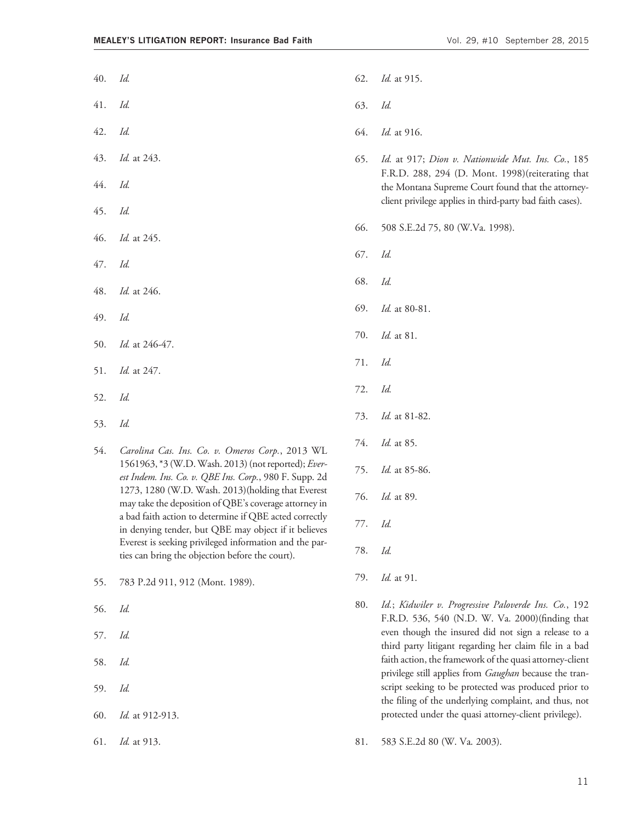- 40. Id.
- 41. Id.
- 42. Id.
- 43. Id. at 243.
- 44. Id.
- 45. Id.
- 46. Id. at 245.
- 47. Id.
- 48. Id. at 246.
- 49. Id.
- 50. Id. at 246-47.
- 51. Id. at 247.
- 52. Id.
- 53. Id.
- 54. Carolina Cas. Ins. Co. v. Omeros Corp., 2013 WL 1561963, \*3 (W.D.Wash. 2013) (not reported); Everest Indem. Ins. Co. v. QBE Ins. Corp., 980 F. Supp. 2d 1273, 1280 (W.D. Wash. 2013)(holding that Everest may take the deposition of QBE's coverage attorney in a bad faith action to determine if QBE acted correctly in denying tender, but QBE may object if it believes Everest is seeking privileged information and the parties can bring the objection before the court).
- 55. 783 P.2d 911, 912 (Mont. 1989).
- 56. Id.
- 57. Id.
- 58. Id.
- 59. Id.
- 60. Id. at 912-913.
- 61. Id. at 913.
- 62. Id. at 915.
- 63. Id.
- 64. Id. at 916.
- 65. Id. at 917; Dion v. Nationwide Mut. Ins. Co., 185 F.R.D. 288, 294 (D. Mont. 1998)(reiterating that the Montana Supreme Court found that the attorneyclient privilege applies in third-party bad faith cases).
- 66. 508 S.E.2d 75, 80 (W.Va. 1998).
- 67. Id.
- 68. Id.
- 69. Id. at 80-81.
- 70. Id. at 81.
- 71. Id.
- 72. Id.
- 73. Id. at 81-82.
- 74. Id. at 85.
- 75. Id. at 85-86.
- 76. Id. at 89.
- 77. Id.
- 78. Id.
- 79. Id. at 91.
- 80. Id.; Kidwiler v. Progressive Paloverde Ins. Co., 192 F.R.D. 536, 540 (N.D. W. Va. 2000)(finding that even though the insured did not sign a release to a third party litigant regarding her claim file in a bad faith action, the framework of the quasi attorney-client privilege still applies from Gaughan because the transcript seeking to be protected was produced prior to the filing of the underlying complaint, and thus, not protected under the quasi attorney-client privilege).
- 81. 583 S.E.2d 80 (W. Va. 2003).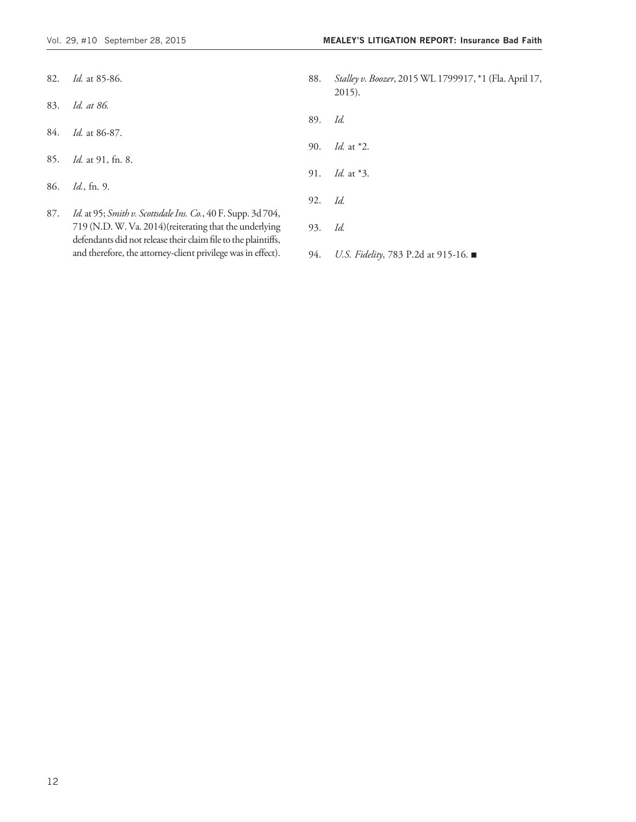- 82. Id. at 85-86.
- 83. Id. at 86.
- 84. Id. at 86-87.
- 85. Id. at 91, fn. 8.
- 86. Id., fn. 9.
- 87. Id. at 95; Smith v. Scottsdale Ins. Co., 40 F. Supp. 3d 704, 719 (N.D.W. Va. 2014)(reiterating that the underlying defendants did not release their claim file to the plaintiffs, and therefore, the attorney-client privilege was in effect).
- 88. Stalley v. Boozer, 2015 WL 1799917, \*1 (Fla. April 17, 2015).
- 89. Id.
- 90. Id. at \*2.
- 91. Id. at \*3.
- 92. Id.
- 93. Id.
- 94. *U.S. Fidelity*, 783 P.2d at 915-16. ■